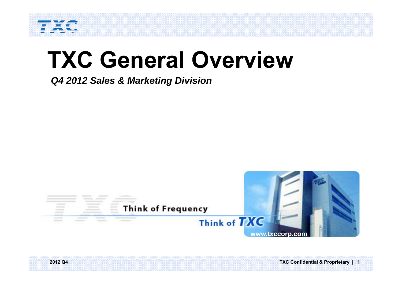

# **TXC General Overview**

*Q4 2012 Sales & Marketing Division*

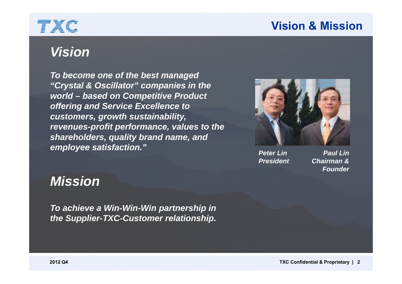### **Vision & Mission**

# TXC

## *Vision*

*To become one of the best managed "Crystal & Oscillator" companies in the world – based on Competitive Product offering and Service Excellence to customers, growth sustainability, revenues-profit performance, values to the shareholders, quality brand name, and employee satisfaction."*



*Peter LinPresident*

*Paul LinChairman &Founder*

## *Mission*

*To achieve a Win-Win-Win partnership in the Supplier-TXC-Customer relationship.*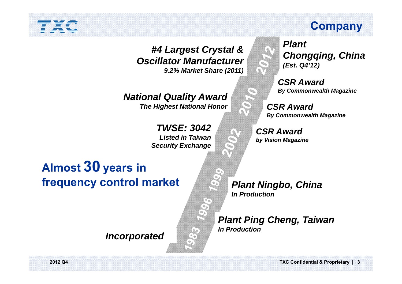#### *#4 Largest Crystal & Oscillator Manufacturer9.2% Market Share (2011)*

*National Quality Award The Highest National Honor*

> *TWSE: 3042Listed in Taiwan Security Exchange*

## **Almost 30 years in frequency control market**

*Incorporated*

### **Company**

*Plant Chongqing, China (Est. Q4'12)*

*CSR AwardBy Commonwealth Magazine*

*CSR AwardBy Commonwealth Magazine*

*CSR Awardby Vision Magazine*

*Plant Ningbo, China In Production*

*Plant Ping Cheng, Taiwan In Production*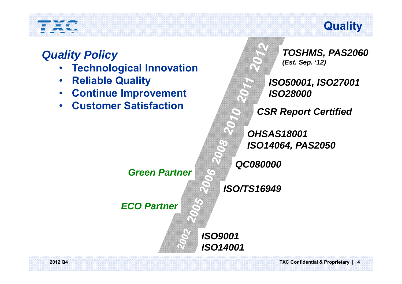## **Quality**

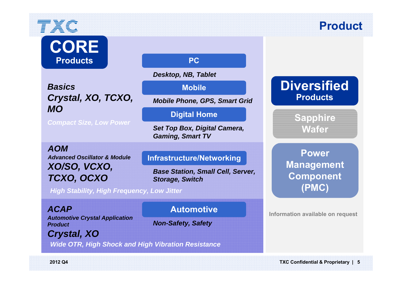# TXC **CORE**

**Products**

*BasicsCrystal, XO, TCXO, MO* 

*Compact Size, Low Power*

*AOMAdvanced Oscillator & ModuleXO/SO, VCXO, TCXO, OCXO*

**PC**

*Desktop, NB, Tablet* 

**Mobile**

*Mobile Phone, GPS, Smart Grid* 

#### **Digital Home**

*Set Top Box, Digital Camera, Gaming, Smart TV* 

#### **Infrastructure/Networking**

*Base Station, Small Cell, Server, Storage, Switch* 

*High Stability, High Frequency, Low Jitter*

*ACAPAutomotive Crystal Application Product*

#### **Automotive**

*Non-Safety, Safety*

*Crystal, XO*

*Wide OTR, High Shock and High Vibration Resistance*

#### **Diversified Products**

**Product**

**Sapphire Wafer**

**PowerManagement Component (PMC)**

**Information available on request**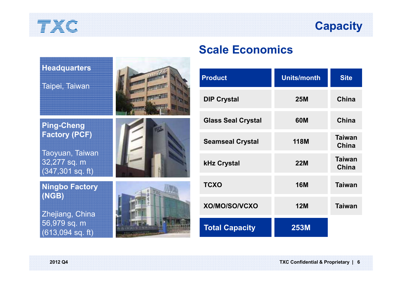## **Capacity**

| <b>Headquarters</b><br>Taipei, Taiwan                                                               |  |
|-----------------------------------------------------------------------------------------------------|--|
| <b>Ping-Cheng</b><br><b>Factory (PCF)</b><br>Taoyuan, Taiwan<br>32,277 sq. m<br>$(347, 301$ sq. ft) |  |
| <b>Ningbo Factory</b><br>(NGB)<br>Zhejiang, China<br>56,979 sq. m<br>$(613,094$ sq. ft)             |  |

#### **Scale Economics**

| <b>Product</b>            | <b>Units/month</b> | <b>Site</b>                   |
|---------------------------|--------------------|-------------------------------|
| <b>DIP Crystal</b>        | <b>25M</b>         | China                         |
| <b>Glass Seal Crystal</b> | <b>60M</b>         | China                         |
| <b>Seamseal Crystal</b>   | <b>118M</b>        | <b>Taiwan</b><br><b>China</b> |
| <b>kHz Crystal</b>        | <b>22M</b>         | <b>Taiwan</b><br><b>China</b> |
| <b>TCXO</b>               | <b>16M</b>         | <b>Taiwan</b>                 |
| XO/MO/SO/VCXO             | <b>12M</b>         | <b>Taiwan</b>                 |
| <b>Total Capacity</b>     | <b>253M</b>        |                               |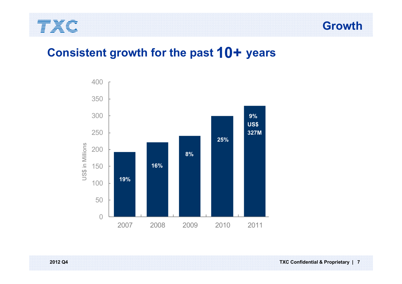

**Growth**

### **Consistent growth for the past 10+ years**

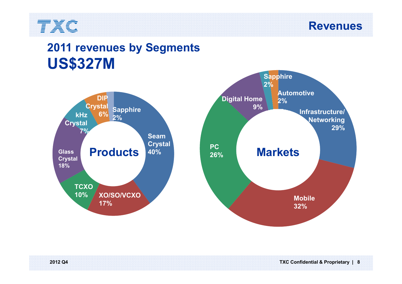

**Revenues**

## **2011 revenues by Segments US\$327M**





**2012 Q4 TXC Confidential & Proprietary | 8**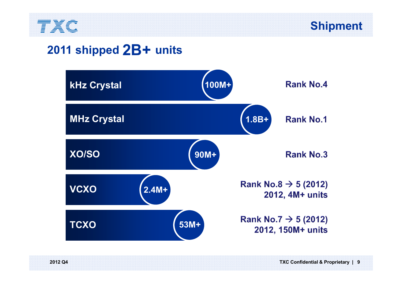

### **2011 shipped 2B+ units**

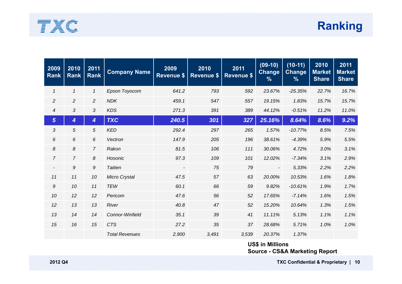



| 2009<br><b>Rank</b> | 2010<br><b>Rank</b> | 2011<br><b>Rank</b> | <b>Company Name</b>   | 2009<br><b>Revenue \$</b> | 2010<br><b>Revenue \$</b> | 2011<br><b>Revenue \$</b> | $(09-10)$<br><b>Change</b><br>$\frac{9}{6}$ | $(10-11)$<br><b>Change</b><br>$\frac{9}{6}$ | 2010<br><b>Market</b><br><b>Share</b> | 2011<br><b>Market</b><br><b>Share</b> |
|---------------------|---------------------|---------------------|-----------------------|---------------------------|---------------------------|---------------------------|---------------------------------------------|---------------------------------------------|---------------------------------------|---------------------------------------|
| $\mathcal I$        | $\mathbf{1}$        | $\mathcal I$        | Epson Toyocom         | 641.2                     | 793                       | 592                       | 23.67%                                      | $-25.35%$                                   | 22.7%                                 | 16.7%                                 |
| $\overline{2}$      | $\overline{c}$      | $\overline{a}$      | <b>NDK</b>            | 459.1                     | 547                       | 557                       | 19.15%                                      | 1.83%                                       | 15.7%                                 | 15.7%                                 |
| $\boldsymbol{4}$    | 3                   | 3                   | <b>KDS</b>            | 271.3                     | 391                       | 389                       | 44.12%                                      | $-0.51%$                                    | 11.2%                                 | 11.0%                                 |
| $5\phantom{1}$      | 4                   | 4                   | <b>TXC</b>            | 240.5                     | 301                       | 327                       | 25.16%                                      | 8.64%                                       | 8.6%                                  | 9.2%                                  |
| 3                   | 5                   | 5                   | <b>KED</b>            | 292.4                     | 297                       | 265                       | 1.57%                                       | $-10.77%$                                   | 8.5%                                  | 7.5%                                  |
| 6                   | 6                   | 6                   | Vectron               | 147.9                     | 205                       | 196                       | 38.61%                                      | $-4.39%$                                    | 5.9%                                  | 5.5%                                  |
| 8                   | 8                   | $\overline{7}$      | Rakon                 | 81.5                      | 106                       | 111                       | 30.06%                                      | 4.72%                                       | 3.0%                                  | 3.1%                                  |
| $\overline{7}$      | $\overline{7}$      | 8                   | Hosonic               | 97.3                      | 109                       | 101                       | 12.02%                                      | $-7.34%$                                    | 3.1%                                  | 2.9%                                  |
|                     | 9                   | 9                   | <b>Taitien</b>        | $\overline{\phantom{a}}$  | 75                        | 79                        | $\overline{\phantom{a}}$                    | 5.33%                                       | 2.2%                                  | 2.2%                                  |
| 11                  | 11                  | 10                  | Micro Crystal         | 47.5                      | 57                        | 63                        | 20.00%                                      | 10.53%                                      | 1.6%                                  | 1.8%                                  |
| 9                   | 10                  | 11                  | <b>TEW</b>            | 60.1                      | 66                        | 59                        | 9.82%                                       | $-10.61%$                                   | 1.9%                                  | 1.7%                                  |
| 10                  | 12                  | 12                  | Pericom               | 47.6                      | 56                        | 52                        | 17.65%                                      | $-7.14%$                                    | 1.6%                                  | 1.5%                                  |
| 12                  | 13                  | 13                  | River                 | 40.8                      | 47                        | 52                        | 15.20%                                      | 10.64%                                      | 1.3%                                  | 1.5%                                  |
| 13                  | 14                  | 14                  | Connor-Winfield       | 35.1                      | 39                        | 41                        | 11.11%                                      | 5.13%                                       | 1.1%                                  | 1.1%                                  |
| 15                  | 16                  | 15                  | <b>CTS</b>            | 27.2                      | 35                        | 37                        | 28.68%                                      | 5.71%                                       | 1.0%                                  | 1.0%                                  |
|                     |                     |                     | <b>Total Revenues</b> | 2,900                     | 3,491                     | 3,539                     | 20.37%                                      | 1.37%                                       |                                       |                                       |

**US\$ in Millions Source - CS&A Marketing Report**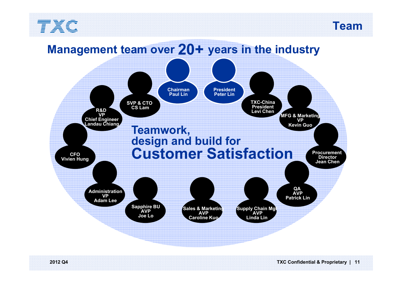



#### **SVP & CTO CS LamChairman Paul LinPresident Peter LinR&D VP Chief Engineer Landau Chiang TXC-China President Levi Chen Supply Chain Mgt AVP Linda LinSales & Marketing AVP Caroline KuoSapphire BU AVP Joe Lo QA AVP Patrick Lin Administration VP Adam Lee Procurement Director Jean Chen MFG & Marketing VP Kevin Guo CFO Vivien Hung Teamwork, design and build for Customer SatisfactionManagement team over 20+ years in the industry**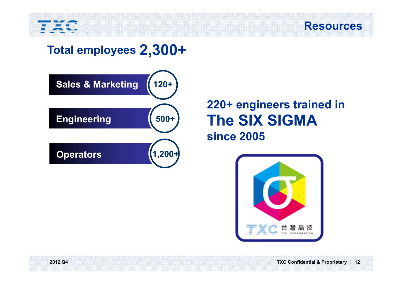



## **Total employees 2,300+**



## **220+ engineers trained in The SIX SIGMAsince 2005**

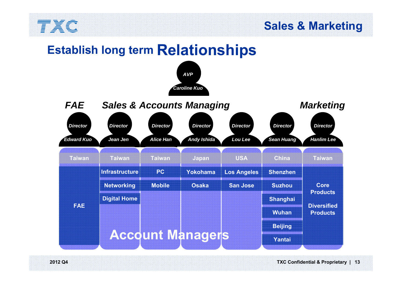

#### **Sales & Marketing**

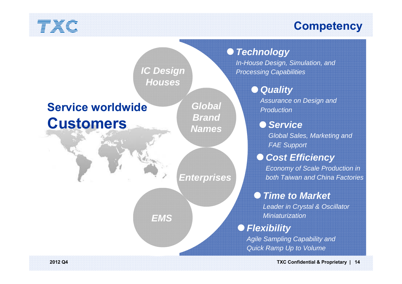## **Competency**

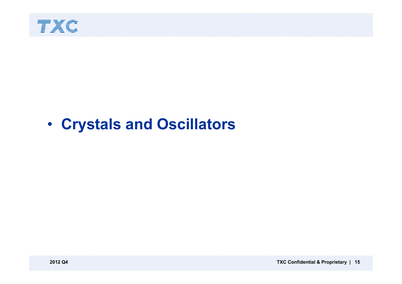

#### •**Crystals and Oscillators**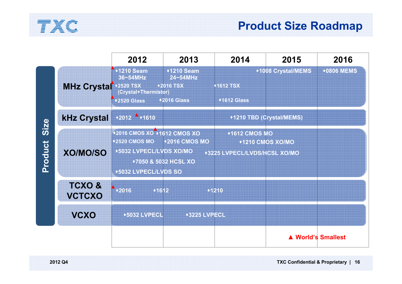

### **Product Size Roadmap**

|                 |                                   | 2012                                                                                            | 2013                                                            | 2014                                                 | 2015                     | 2016              |
|-----------------|-----------------------------------|-------------------------------------------------------------------------------------------------|-----------------------------------------------------------------|------------------------------------------------------|--------------------------|-------------------|
|                 | <b>MHz Crystal</b>                | 191210 Seam<br>36~54MHz<br><b>*2520 TSX</b><br>(Crystal+Thermistor)<br><b>+2520 Glass</b>       | ◆1210 Seam<br>24~54MHz<br><b>2016 TSX</b><br><b>*2016 Glass</b> | <b>+1612 TSX</b><br><b>*1612 Glass</b>               | ◆1008 Crystal/MEMS       | <b>+0806 MEMS</b> |
|                 | <b>kHz Crystal</b>                | $*2012$ $*1610$                                                                                 |                                                                 |                                                      | ◆1210 TBD (Crystal/MEMS) |                   |
| Size<br>Product | <b>XO/MO/SO</b>                   | ◆2016 CMOS XO ◆1612 CMOS XO<br>◆2520 CMOS MO<br>◆5032 LVPECL/LVDS XO/MO<br>◆5032 LVPECL/LVDS SO | <b>+2016 CMOS MO</b><br>◆7050 & 5032 HCSL XO                    | <b>+1612 CMOS MO</b><br>+3225 LVPECL/LVDS/HCSL XO/MO | ◆1210 CMOS XO/MO         |                   |
|                 | <b>TCXO&amp;</b><br><b>VCTCXO</b> | $\big  2016$<br>01612                                                                           |                                                                 | <b>XE40</b>                                          |                          |                   |
|                 | <b>VCXO</b>                       | <b>◆5032 LVPECL</b>                                                                             | ◆3225 LVPECL                                                    |                                                      |                          |                   |
|                 |                                   |                                                                                                 |                                                                 |                                                      | ▲ World's Smallest       |                   |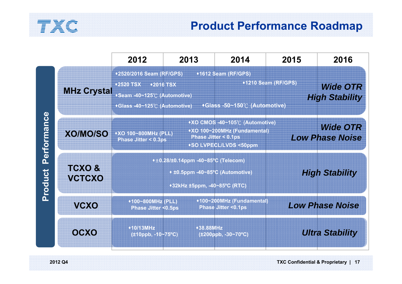

### **Product Performance Roadmap**

|                               |                                   | 2012                                                                                                           | 2013                                                                                                     | 2014                                                                                                                                 | 2015                | 2016                                             |
|-------------------------------|-----------------------------------|----------------------------------------------------------------------------------------------------------------|----------------------------------------------------------------------------------------------------------|--------------------------------------------------------------------------------------------------------------------------------------|---------------------|--------------------------------------------------|
|                               | <b>MHz Crystal</b>                | ◆2520/2016 Seam (RF/GPS)<br>◆2520 TSX →2016 TSX<br>+Seam -40~125℃ (Automotive)<br>◆Glass -40~125℃ (Automotive) |                                                                                                          | ◆1612 Seam (RF/GPS)<br>◆Glass -50~150℃ (Automotive)                                                                                  | ◆1210 Seam (RF/GPS) | <b>Wide OTR</b><br><b>High Stability</b>         |
| <b>Performance</b><br>Product | <b>XO/MO/SO</b>                   | ◆XO 100~800MHz (PLL)<br><b>Phase Jitter &lt; 0.3ps</b>                                                         |                                                                                                          | ◆XO CMOS -40~105℃ (Automotive)<br>◆XO 100~200MHz (Fundamental)<br><b>Phase Jitter &lt; 0.1ps</b><br><b>+SO LVPECL/LVDS &lt;50ppm</b> |                     | <i><b>Wide OTR</b></i><br><b>Low Phase Noise</b> |
|                               | <b>TCXO&amp;</b><br><b>VCTCXO</b> |                                                                                                                | $*10.28/10.14$ ppm -40~85°C (Telecom)<br>• ±0.5ppm -40~85°C (Automotive)<br>+32kHz ±5ppm, -40~85°C (RTC) |                                                                                                                                      |                     | <b>High Stability</b>                            |
|                               | <b>MCXO</b>                       | ◆100~800MHz (PLL)<br><b>Phase Jitter &lt;0.5ps</b>                                                             |                                                                                                          | ◆100~200MHz (Fundamental)<br><b>Phase Jitter &lt;0.1ps</b>                                                                           |                     | <b>Low Phase Noise</b>                           |
|                               | OCXO                              | ◆10/13MHz<br>$(±10$ ppb, -10~75°C)                                                                             | ◆38.88MHz                                                                                                | (±200ppb, -30~70°C)                                                                                                                  |                     | <b>Ultra Stability</b>                           |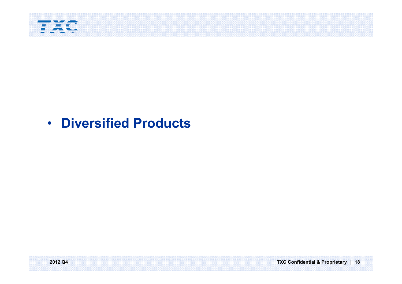

## • **Diversified Products**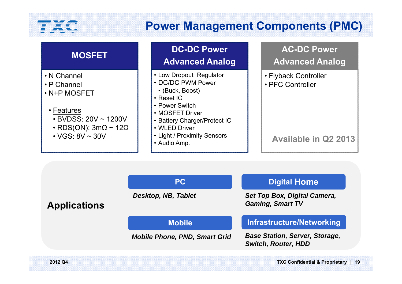## **Power Management Components (PMC)**

| <b>MOSFET</b>                                                                                                                                                          | <b>DC-DC Power</b><br><b>Advanced Analog</b>                                                                                                                                                                             | <b>AC-DC Power</b><br><b>Advanced Analog</b>                            |
|------------------------------------------------------------------------------------------------------------------------------------------------------------------------|--------------------------------------------------------------------------------------------------------------------------------------------------------------------------------------------------------------------------|-------------------------------------------------------------------------|
| • N Channel<br>$\cdot$ P Channel<br>• N+P MOSFET<br>• Features<br>$\cdot$ BVDSS: 20V $\sim$ 1200V<br>• RDS(ON): $3m\Omega \sim 12\Omega$<br>$\cdot$ VGS: 8V $\sim$ 30V | • Low Dropout Regulator<br>• DC/DC PWM Power<br>• (Buck, Boost)<br>$\cdot$ Reset IC<br>• Power Switch<br>• MOSFET Driver<br>• Battery Charger/Protect IC<br>• WLED Driver<br>• Light / Proximity Sensors<br>• Audio Amp. | • Flyback Controller<br>• PFC Controller<br><b>Available in Q2 2013</b> |
|                                                                                                                                                                        |                                                                                                                                                                                                                          |                                                                         |

**Applications Infrastructure/Networking PC MobileDigital Home** *Base Station, Server, Storage, Switch, Router, HDD Set Top Box, Digital Camera, Gaming, Smart TV Desktop, NB, Tablet Mobile Phone, PND, Smart Grid*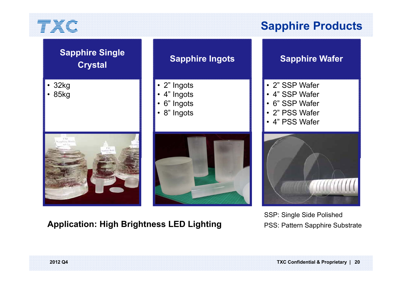•

•

## **Sapphire Products**

| <b>Sapphire Single</b><br><b>Crystal</b> | <b>Sapphire Ingots</b>                                 | <b>Sapphire Wafer</b>                                                                  |
|------------------------------------------|--------------------------------------------------------|----------------------------------------------------------------------------------------|
| 32kg<br>85kg                             | • 2" Ingots<br>• 4" Ingots<br>6" Ingots<br>• 8" Ingots | • 2" SSP Wafer<br>• 4" SSP Wafer<br>· 6" SSP Wafer<br>• 2" PSS Wafer<br>· 4" PSS Wafer |
|                                          |                                                        |                                                                                        |

#### **Application: High Brightness LED Lighting**

SSP: Single Side Polished PSS: Pattern Sapphire Substrate